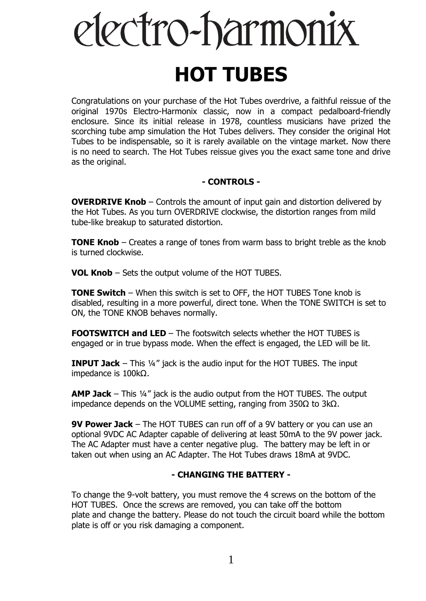# electro-harmonix **HOT TUBES**

Congratulations on your purchase of the Hot Tubes overdrive, a faithful reissue of the original 1970s Electro-Harmonix classic, now in a compact pedalboard-friendly enclosure. Since its initial release in 1978, countless musicians have prized the scorching tube amp simulation the Hot Tubes delivers. They consider the original Hot Tubes to be indispensable, so it is rarely available on the vintage market. Now there is no need to search. The Hot Tubes reissue gives you the exact same tone and drive as the original.

# **- CONTROLS -**

**OVERDRIVE Knob** – Controls the amount of input gain and distortion delivered by the Hot Tubes. As you turn OVERDRIVE clockwise, the distortion ranges from mild tube-like breakup to saturated distortion.

**TONE Knob** – Creates a range of tones from warm bass to bright treble as the knob is turned clockwise.

**VOL Knob** – Sets the output volume of the HOT TUBES.

**TONE Switch** – When this switch is set to OFF, the HOT TUBES Tone knob is disabled, resulting in a more powerful, direct tone. When the TONE SWITCH is set to ON, the TONE KNOB behaves normally.

**FOOTSWITCH and LED** – The footswitch selects whether the HOT TUBES is engaged or in true bypass mode. When the effect is engaged, the LED will be lit.

**INPUT Jack** – This 1/4" jack is the audio input for the HOT TUBES. The input impedance is 100kΩ.

**AMP Jack** – This ¼" jack is the audio output from the HOT TUBES. The output impedance depends on the VOLUME setting, ranging from 350Ω to 3kΩ.

**9V Power Jack** – The HOT TUBES can run off of a 9V battery or you can use an optional 9VDC AC Adapter capable of delivering at least 50mA to the 9V power jack. The AC Adapter must have a center negative plug. The battery may be left in or taken out when using an AC Adapter. The Hot Tubes draws 18mA at 9VDC.

# **- CHANGING THE BATTERY -**

To change the 9-volt battery, you must remove the 4 screws on the bottom of the HOT TUBES. Once the screws are removed, you can take off the bottom plate and change the battery. Please do not touch the circuit board while the bottom plate is off or you risk damaging a component.